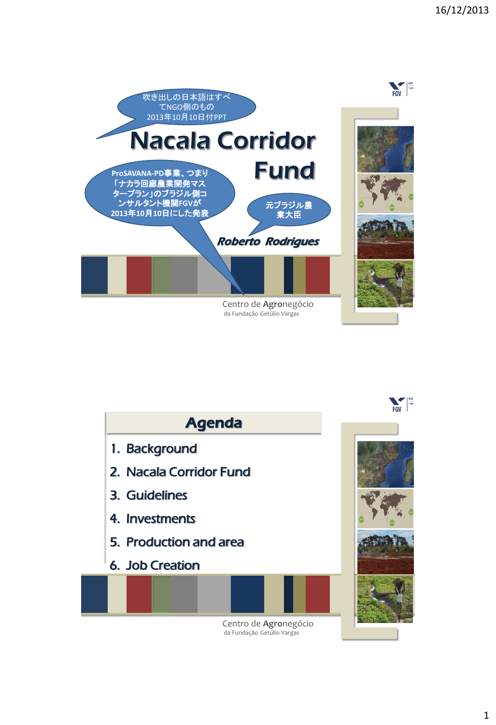



Centro de **Agro**negócio da Fundação Getúlio Vargas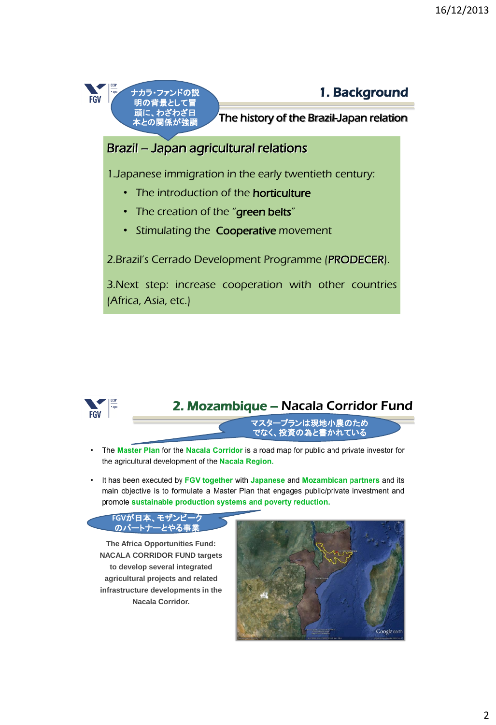

#### 1. Background

The history of the Brazil-Japan relation

# Brazil – Japan agricultural relations

1.Japanese immigration in the early twentieth century:

- The introduction of the **horticulture**
- The creation of the "green belts"
- Stimulating the Cooperative movement

2.Brazil's Cerrado Development Programme (PRODECER).

3.Next step: increase cooperation with other countries (Africa, Asia, etc.)



## 2. Mozambique – Nacala Corridor Fund

マスタープランは現地小農のため でなく、投資の為と書かれている

- The Master Plan for the Nacala Corridor is a road map for public and private investor for the agricultural development of the Nacala Region.
- It has been executed by FGV together with Japanese and Mozambican partners and its main objective is to formulate a Master Plan that engages public/private investment and promote sustainable production systems and poverty reduction.



**The Africa Opportunities Fund: NACALA CORRIDOR FUND targets to develop several integrated agricultural projects and related infrastructure developments in the Nacala Corridor.**

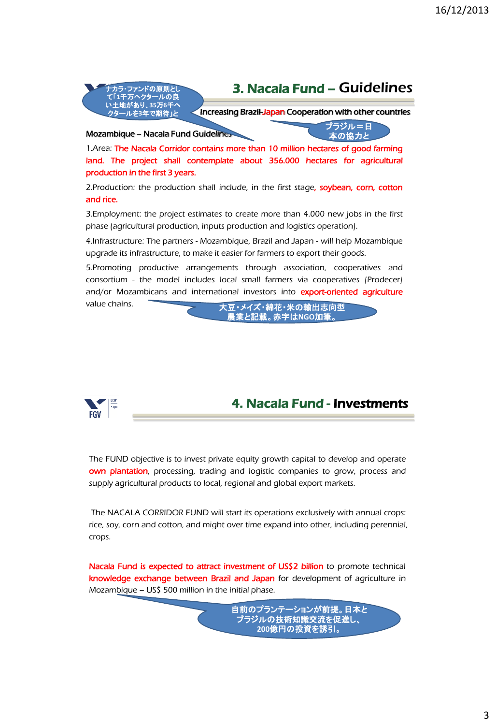

and/or Mozambicans and international investors into export-oriented agriculture value chains.

大豆・メイズ・綿花・米の輸出志向型 農業と記載。赤字は**NGO**加筆。



4. Nacala Fund - Investments

The FUND objective is to invest private equity growth capital to develop and operate own plantation, processing, trading and logistic companies to grow, process and supply agricultural products to local, regional and global export markets.

The NACALA CORRIDOR FUND will start its operations exclusively with annual crops: rice, soy, corn and cotton, and might over time expand into other, including perennial, crops.

Nacala Fund is expected to attract investment of US\$2 billion to promote technical knowledge exchange between Brazil and Japan for development of agriculture in Mozambique – US\$ 500 million in the initial phase.

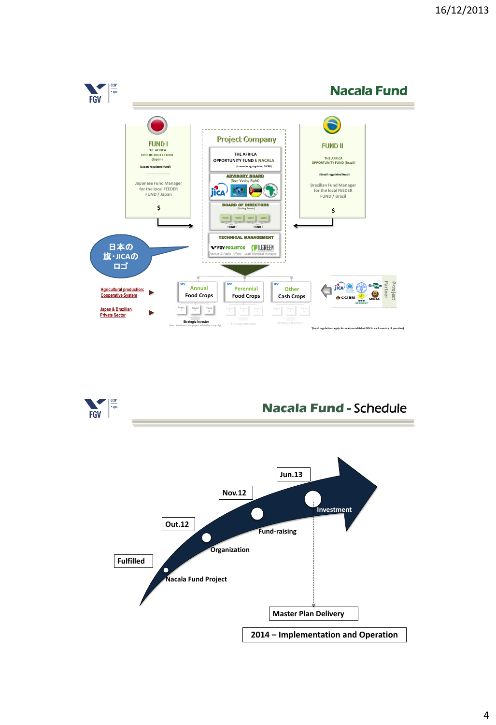

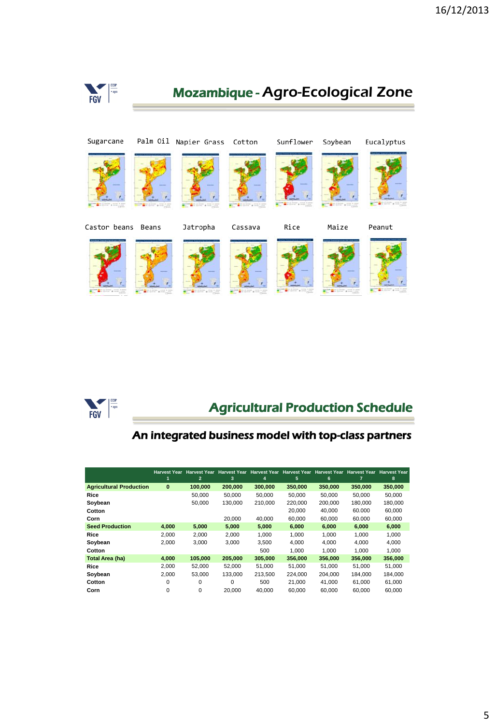



# Agricultural Production Schedule

#### An integrated business model with top-class partners

|                                | <b>Harvest Year</b> | <b>Harvest Year</b> | <b>Harvest Year</b> |         | Harvest Year Harvest Year Harvest Year |         | <b>Harvest Year</b> | <b>Harvest Year</b> |
|--------------------------------|---------------------|---------------------|---------------------|---------|----------------------------------------|---------|---------------------|---------------------|
|                                |                     | $\overline{2}$      | 3                   | 4       | 5                                      | 6       | 7                   | 8                   |
| <b>Agricultural Production</b> | $\bf{0}$            | 100.000             | 200,000             | 300.000 | 350,000                                | 350,000 | 350,000             | 350,000             |
| Rice                           |                     | 50.000              | 50.000              | 50.000  | 50.000                                 | 50.000  | 50.000              | 50.000              |
| Soybean                        |                     | 50,000              | 130,000             | 210.000 | 220.000                                | 200.000 | 180.000             | 180.000             |
| Cotton                         |                     |                     |                     |         | 20,000                                 | 40.000  | 60.000              | 60,000              |
| Corn                           |                     |                     | 20,000              | 40.000  | 60.000                                 | 60.000  | 60.000              | 60,000              |
| <b>Seed Production</b>         | 4.000               | 5.000               | 5.000               | 5,000   | 6,000                                  | 6,000   | 6.000               | 6,000               |
| Rice                           | 2.000               | 2,000               | 2,000               | 1.000   | 1,000                                  | 1,000   | 1.000               | 1,000               |
| Soybean                        | 2,000               | 3,000               | 3.000               | 3,500   | 4,000                                  | 4.000   | 4,000               | 4,000               |
| Cotton                         |                     |                     |                     | 500     | 1.000                                  | 1.000   | 1.000               | 1,000               |
| Total Area (ha)                | 4.000               | 105.000             | 205.000             | 305.000 | 356,000                                | 356,000 | 356,000             | 356,000             |
| Rice                           | 2,000               | 52,000              | 52,000              | 51,000  | 51,000                                 | 51,000  | 51,000              | 51,000              |
| Soybean                        | 2,000               | 53,000              | 133,000             | 213.500 | 224.000                                | 204.000 | 184,000             | 184.000             |
| Cotton                         | 0                   | 0                   | 0                   | 500     | 21.000                                 | 41.000  | 61.000              | 61.000              |
| Corn                           | 0                   | 0                   | 20,000              | 40.000  | 60.000                                 | 60.000  | 60,000              | 60.000              |